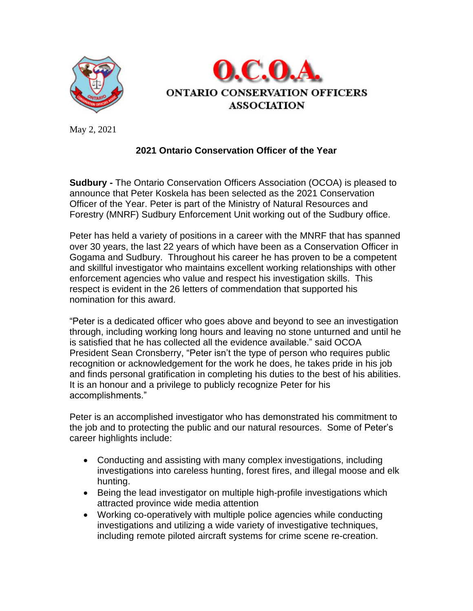



May 2, 2021

## **2021 Ontario Conservation Officer of the Year**

**Sudbury -** The Ontario Conservation Officers Association (OCOA) is pleased to announce that Peter Koskela has been selected as the 2021 Conservation Officer of the Year. Peter is part of the Ministry of Natural Resources and Forestry (MNRF) Sudbury Enforcement Unit working out of the Sudbury office.

Peter has held a variety of positions in a career with the MNRF that has spanned over 30 years, the last 22 years of which have been as a Conservation Officer in Gogama and Sudbury. Throughout his career he has proven to be a competent and skillful investigator who maintains excellent working relationships with other enforcement agencies who value and respect his investigation skills. This respect is evident in the 26 letters of commendation that supported his nomination for this award.

"Peter is a dedicated officer who goes above and beyond to see an investigation through, including working long hours and leaving no stone unturned and until he is satisfied that he has collected all the evidence available." said OCOA President Sean Cronsberry, "Peter isn't the type of person who requires public recognition or acknowledgement for the work he does, he takes pride in his job and finds personal gratification in completing his duties to the best of his abilities. It is an honour and a privilege to publicly recognize Peter for his accomplishments."

Peter is an accomplished investigator who has demonstrated his commitment to the job and to protecting the public and our natural resources. Some of Peter's career highlights include:

- Conducting and assisting with many complex investigations, including investigations into careless hunting, forest fires, and illegal moose and elk hunting.
- Being the lead investigator on multiple high-profile investigations which attracted province wide media attention
- Working co-operatively with multiple police agencies while conducting investigations and utilizing a wide variety of investigative techniques, including remote piloted aircraft systems for crime scene re-creation.